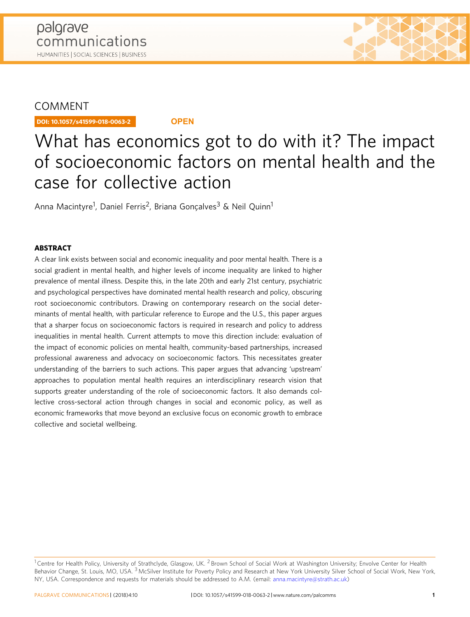# COMMENT

DOI: 10.1057/s41599-018-0063-2 **OPEN**

# What has economics got to do with it? The impact of socioeconomic factors on mental health and the case for collective action

Anna Macintyre<sup>1</sup>, Daniel Ferris<sup>2</sup>, Briana Gonçalves<sup>3</sup> & Neil Quinn<sup>1</sup>

# **ABSTRACT**

A clear link exists between social and economic inequality and poor mental health. There is a social gradient in mental health, and higher levels of income inequality are linked to higher prevalence of mental illness. Despite this, in the late 20th and early 21st century, psychiatric and psychological perspectives have dominated mental health research and policy, obscuring root socioeconomic contributors. Drawing on contemporary research on the social determinants of mental health, with particular reference to Europe and the U.S., this paper argues that a sharper focus on socioeconomic factors is required in research and policy to address inequalities in mental health. Current attempts to move this direction include: evaluation of the impact of economic policies on mental health, community-based partnerships, increased professional awareness and advocacy on socioeconomic factors. This necessitates greater understanding of the barriers to such actions. This paper argues that advancing 'upstream' approaches to population mental health requires an interdisciplinary research vision that supports greater understanding of the role of socioeconomic factors. It also demands collective cross-sectoral action through changes in social and economic policy, as well as economic frameworks that move beyond an exclusive focus on economic growth to embrace collective and societal wellbeing.

<sup>&</sup>lt;sup>1</sup> Centre for Health Policy, University of Strathclyde, Glasgow, UK. <sup>2</sup> Brown School of Social Work at Washington University; Envolve Center for Health Behavior Change, St. Louis, MO, USA. <sup>3</sup> McSilver Institute for Poverty Policy and Research at New York University Silver School of Social Work, New York, NY, USA. Correspondence and requests for materials should be addressed to A.M. (email: [anna.macintyre@strath.ac.uk\)](mailto:anna.macintyre@strath.ac.uk)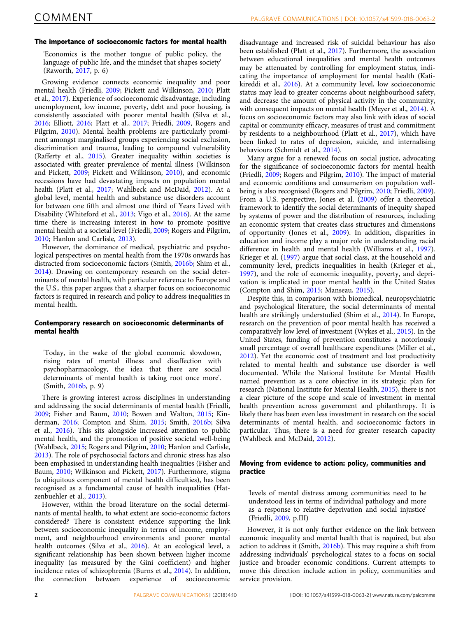# The importance of socioeconomic factors for mental health

'Economics is the mother tongue of public policy, the language of public life, and the mindset that shapes society' (Raworth, [2017,](#page-4-0) p. 6)

Growing evidence connects economic inequality and poor mental health (Friedli, [2009;](#page-3-0) Pickett and Wilkinson, [2010](#page-4-0); Platt et al., [2017\)](#page-4-0). Experience of socioeconomic disadvantage, including unemployment, low income, poverty, debt and poor housing, is consistently associated with poorer mental health (Silva et al., [2016;](#page-4-0) Elliott, [2016](#page-3-0); Platt et al., [2017;](#page-4-0) Friedli, [2009,](#page-3-0) Rogers and Pilgrim, [2010\)](#page-4-0). Mental health problems are particularly prominent amongst marginalised groups experiencing social exclusion, discrimination and trauma, leading to compound vulnerability (Rafferty et al., [2015\)](#page-4-0). Greater inequality within societies is associated with greater prevalence of mental illness (Wilkinson and Pickett, [2009](#page-4-0); Pickett and Wilkinson, [2010](#page-4-0)), and economic recessions have had devastating impacts on population mental health (Platt et al., [2017](#page-4-0); Wahlbeck and McDaid, [2012\)](#page-4-0). At a global level, mental health and substance use disorders account for between one fifth and almost one third of Years Lived with Disability (Whiteford et al., [2013;](#page-4-0) Vigo et al., [2016](#page-4-0)). At the same time there is increasing interest in how to promote positive mental health at a societal level (Friedli, [2009;](#page-3-0) Rogers and Pilgrim, [2010;](#page-4-0) Hanlon and Carlisle, [2013\)](#page-3-0).

However, the dominance of medical, psychiatric and psychological perspectives on mental health from the 1970s onwards has distracted from socioeconomic factors (Smith, [2016b](#page-4-0); Shim et al., [2014\)](#page-4-0). Drawing on contemporary research on the social determinants of mental health, with particular reference to Europe and the U.S., this paper argues that a sharper focus on socioeconomic factors is required in research and policy to address inequalities in mental health.

# Contemporary research on socioeconomic determinants of mental health

'Today, in the wake of the global economic slowdown, rising rates of mental illness and disaffection with psychopharmacology, the idea that there are social determinants of mental health is taking root once more'. (Smith, [2016b,](#page-4-0) p. 9)

There is growing interest across disciplines in understanding and addressing the social determinants of mental health (Friedli, [2009;](#page-3-0) Fisher and Baum, [2010;](#page-3-0) Bowen and Walton, [2015](#page-3-0); Kinderman, [2016;](#page-3-0) Compton and Shim, [2015;](#page-3-0) Smith, [2016b](#page-4-0); Silva et al., [2016\)](#page-4-0). This sits alongside increased attention to public mental health, and the promotion of positive societal well-being (Wahlbeck, [2015;](#page-4-0) Rogers and Pilgrim, [2010](#page-4-0); Hanlon and Carlisle, [2013\)](#page-3-0). The role of psychosocial factors and chronic stress has also been emphasised in understanding health inequalities (Fisher and Baum, [2010](#page-3-0); Wilkinson and Pickett, [2017](#page-4-0)). Furthermore, stigma (a ubiquitous component of mental health difficulties), has been recognised as a fundamental cause of health inequalities (Hatzenbuehler et al., [2013\)](#page-3-0).

However, within the broad literature on the social determinants of mental health, to what extent are socio-economic factors considered? There is consistent evidence supporting the link between socioeconomic inequality in terms of income, employment, and neighbourhood environments and poorer mental health outcomes (Silva et al., [2016\)](#page-4-0). At an ecological level, a significant relationship has been shown between higher income inequality (as measured by the Gini coefficient) and higher incidence rates of schizophrenia (Burns et al., [2014\)](#page-3-0). In addition, the connection between experience of socioeconomic

disadvantage and increased risk of suicidal behaviour has also been established (Platt et al., [2017\)](#page-4-0). Furthermore, the association between educational inequalities and mental health outcomes may be attenuated by controlling for employment status, indicating the importance of employment for mental health (Katikireddi et al., [2016\)](#page-3-0). At a community level, low socioeconomic status may lead to greater concerns about neighbourhood safety, and decrease the amount of physical activity in the community, with consequent impacts on mental health (Meyer et al., [2014](#page-3-0)). A focus on socioeconomic factors may also link with ideas of social capital or community efficacy, measures of trust and commitment by residents to a neighbourhood (Platt et al., [2017](#page-4-0)), which have been linked to rates of depression, suicide, and internalising behaviours (Schmidt et al., [2014\)](#page-4-0).

Many argue for a renewed focus on social justice, advocating for the significance of socioeconomic factors for mental health (Friedli, [2009](#page-3-0); Rogers and Pilgrim, [2010\)](#page-4-0). The impact of material and economic conditions and consumerism on population wellbeing is also recognised (Rogers and Pilgrim, [2010](#page-4-0); Friedli, [2009](#page-3-0)). From a U.S. perspective, Jones et al. [\(2009](#page-3-0)) offer a theoretical framework to identify the social determinants of inequity shaped by systems of power and the distribution of resources, including an economic system that creates class structures and dimensions of opportunity (Jones et al., [2009](#page-3-0)). In addition, disparities in education and income play a major role in understanding racial difference in health and mental health (Williams et al., [1997](#page-4-0)). Krieger et al. ([1997\)](#page-3-0) argue that social class, at the household and community level, predicts inequalities in health (Krieger et al., [1997\)](#page-3-0), and the role of economic inequality, poverty, and deprivation is implicated in poor mental health in the United States (Compton and Shim, [2015;](#page-3-0) Manseau, [2015](#page-3-0)).

Despite this, in comparison with biomedical, neuropsychiatric and psychological literature, the social determinants of mental health are strikingly understudied (Shim et al., [2014\)](#page-4-0). In Europe, research on the prevention of poor mental health has received a comparatively low level of investment (Wykes et al., [2015](#page-4-0)). In the United States, funding of prevention constitutes a notoriously small percentage of overall healthcare expenditures (Miller et al., [2012\)](#page-3-0). Yet the economic cost of treatment and lost productivity related to mental health and substance use disorder is well documented. While the National Institute for Mental Health named prevention as a core objective in its strategic plan for research (National Institute for Mental Health, [2015](#page-4-0)), there is not a clear picture of the scope and scale of investment in mental health prevention across government and philanthropy. It is likely there has been even less investment in research on the social determinants of mental health, and socioeconomic factors in particular. Thus, there is a need for greater research capacity (Wahlbeck and McDaid, [2012](#page-4-0)).

# Moving from evidence to action: policy, communities and practice

'levels of mental distress among communities need to be understood less in terms of individual pathology and more as a response to relative deprivation and social injustice' (Friedli, [2009](#page-3-0), p.III)

However, it is not only further evidence on the link between economic inequality and mental health that is required, but also action to address it (Smith, [2016b\)](#page-4-0). This may require a shift from addressing individuals' psychological states to a focus on social justice and broader economic conditions. Current attempts to move this direction include action in policy, communities and service provision.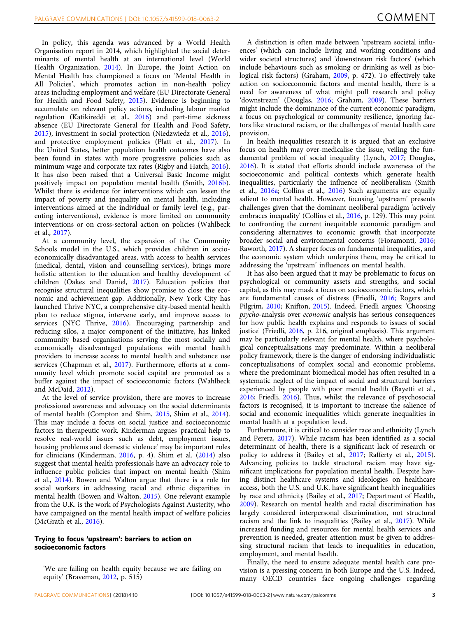In policy, this agenda was advanced by a World Health Organisation report in 2014, which highlighted the social determinants of mental health at an international level (World Health Organization, [2014](#page-4-0)). In Europe, the Joint Action on Mental Health has championed a focus on 'Mental Health in All Policies', which promotes action in non-health policy areas including employment and welfare (EU Directorate General for Health and Food Safety, [2015](#page-3-0)). Evidence is beginning to accumulate on relevant policy actions, including labour market regulation (Katikireddi et al., [2016\)](#page-3-0) and part-time sickness absence (EU Directorate General for Health and Food Safety, [2015\)](#page-3-0), investment in social protection (Niedzwiedz et al., [2016](#page-4-0)), and protective employment policies (Platt et al., [2017\)](#page-4-0). In the United States, better population health outcomes have also been found in states with more progressive policies such as minimum wage and corporate tax rates (Rigby and Hatch, [2016](#page-4-0)). It has also been raised that a Universal Basic Income might positively impact on population mental health (Smith, [2016b](#page-4-0)). Whilst there is evidence for interventions which can lessen the impact of poverty and inequality on mental health, including interventions aimed at the individual or family level (e.g., parenting interventions), evidence is more limited on community interventions or on cross-sectoral action on policies (Wahlbeck et al., [2017](#page-4-0)).

At a community level, the expansion of the Community Schools model in the U.S., which provides children in socioeconomically disadvantaged areas, with access to health services (medical, dental, vision and counselling services), brings more holistic attention to the education and healthy development of children (Oakes and Daniel, [2017\)](#page-4-0). Education policies that recognise structural inequalities show promise to close the economic and achievement gap. Additionally, New York City has launched Thrive NYC, a comprehensive city-based mental health plan to reduce stigma, intervene early, and improve access to services (NYC Thrive, [2016](#page-4-0)). Encouraging partnership and reducing silos, a major component of the initiative, has linked community based organisations serving the most socially and economically disadvantaged populations with mental health providers to increase access to mental health and substance use services (Chapman et al., [2017](#page-3-0)). Furthermore, efforts at a community level which promote social capital are promoted as a buffer against the impact of socioeconomic factors (Wahlbeck and McDaid, [2012](#page-4-0)).

At the level of service provision, there are moves to increase professional awareness and advocacy on the social determinants of mental health (Compton and Shim, [2015](#page-3-0), Shim et al., [2014](#page-4-0)). This may include a focus on social justice and socioeconomic factors in therapeutic work. Kinderman argues 'practical help to resolve real-world issues such as debt, employment issues, housing problems and domestic violence' may be important roles for clinicians (Kinderman, [2016](#page-3-0), p. 4). Shim et al. [\(2014\)](#page-4-0) also suggest that mental health professionals have an advocacy role to influence public policies that impact on mental health (Shim et al., [2014](#page-4-0)). Bowen and Walton argue that there is a role for social workers in addressing racial and ethnic disparities in mental health (Bowen and Walton, [2015\)](#page-3-0). One relevant example from the U.K. is the work of Psychologists Against Austerity, who have campaigned on the mental health impact of welfare policies (McGrath et al., [2016](#page-3-0)).

# Trying to focus 'upstream': barriers to action on socioeconomic factors

'We are failing on health equity because we are failing on equity' (Braveman, [2012,](#page-3-0) p. 515)

A distinction is often made between 'upstream societal influences' (which can include living and working conditions and wider societal structures) and 'downstream risk factors' (which include behaviours such as smoking or drinking as well as biological risk factors) (Graham, [2009,](#page-3-0) p. 472). To effectively take action on socioeconomic factors and mental health, there is a need for awareness of what might pull research and policy 'downstream' (Douglas, [2016;](#page-3-0) Graham, [2009](#page-3-0)). These barriers might include the dominance of the current economic paradigm, a focus on psychological or community resilience, ignoring factors like structural racism, or the challenges of mental health care provision.

In health inequalities research it is argued that an exclusive focus on health may over-medicalise the issue, veiling the fundamental problem of social inequality (Lynch, [2017;](#page-3-0) Douglas, [2016\)](#page-3-0). It is stated that efforts should include awareness of the socioeconomic and political contexts which generate health inequalities, particularly the influence of neoliberalism (Smith et al., [2016a](#page-4-0); Collins et al., [2016](#page-3-0)) Such arguments are equally salient to mental health. However, focusing 'upstream' presents challenges given that the dominant neoliberal paradigm 'actively embraces inequality' (Collins et al., [2016](#page-3-0), p. 129). This may point to confronting the current inequitable economic paradigm and considering alternatives to economic growth that incorporate broader social and environmental concerns (Fioramonti, [2016;](#page-3-0) Raworth, [2017\)](#page-4-0). A sharper focus on fundamental inequalities, and the economic system which underpins them, may be critical to addressing the 'upstream' influences on mental health.

It has also been argued that it may be problematic to focus on psychological or community assets and strengths, and social capital, as this may mask a focus on socioeconomic factors, which are fundamental causes of distress (Friedli, [2016;](#page-3-0) Rogers and Pilgrim, [2010;](#page-4-0) Knifton, [2015\)](#page-3-0). Indeed, Friedli argues: 'Choosing psycho-analysis over economic analysis has serious consequences for how public health explains and responds to issues of social justice' (Friedli, [2016,](#page-3-0) p. 216, original emphasis). This argument may be particularly relevant for mental health, where psychological conceptualisations may predominate. Within a neoliberal policy framework, there is the danger of endorsing individualistic conceptualisations of complex social and economic problems, where the predominant biomedical model has often resulted in a systematic neglect of the impact of social and structural barriers experienced by people with poor mental health (Bayetti et al., [2016;](#page-3-0) Friedli, [2016\)](#page-3-0). Thus, whilst the relevance of psychosocial factors is recognised, it is important to increase the salience of social and economic inequalities which generate inequalities in mental health at a population level.

Furthermore, it is critical to consider race and ethnicity (Lynch and Perera, [2017\)](#page-3-0). While racism has been identified as a social determinant of health, there is a significant lack of research or policy to address it (Bailey et al., [2017;](#page-3-0) Rafferty et al., [2015](#page-4-0)). Advancing policies to tackle structural racism may have significant implications for population mental health. Despite having distinct healthcare systems and ideologies on healthcare access, both the U.S. and U.K. have significant health inequalities by race and ethnicity (Bailey et al., [2017](#page-3-0); Department of Health, [2009\)](#page-3-0). Research on mental health and racial discrimination has largely considered interpersonal discrimination, not structural racism and the link to inequalities (Bailey et al., [2017](#page-3-0)). While increased funding and resources for mental health services and prevention is needed, greater attention must be given to addressing structural racism that leads to inequalities in education, employment, and mental health.

Finally, the need to ensure adequate mental health care provision is a pressing concern in both Europe and the U.S. Indeed, many OECD countries face ongoing challenges regarding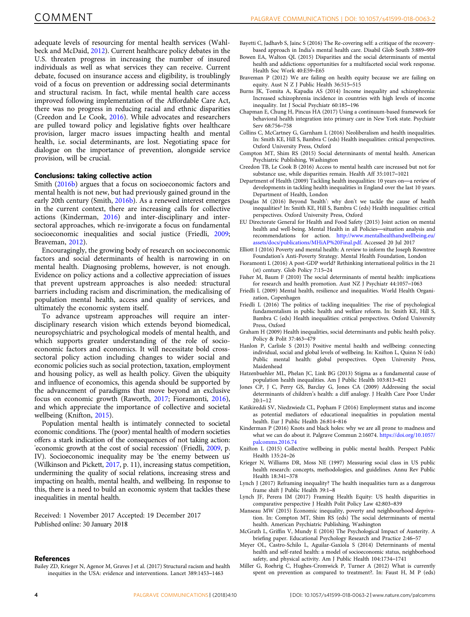<span id="page-3-0"></span>adequate levels of resourcing for mental health services (Wahlbeck and McDaid, [2012](#page-4-0)). Current healthcare policy debates in the U.S. threaten progress in increasing the number of insured individuals as well as what services they can receive. Current debate, focused on insurance access and eligibility, is troublingly void of a focus on prevention or addressing social determinants and structural racism. In fact, while mental health care access improved following implementation of the Affordable Care Act, there was no progress in reducing racial and ethnic disparities (Creedon and Le Cook, 2016). While advocates and researchers are pulled toward policy and legislative fights over healthcare provision, larger macro issues impacting health and mental health, i.e. social determinants, are lost. Negotiating space for dialogue on the importance of prevention, alongside service provision, will be crucial.

#### Conclusions: taking collective action

Smith [\(2016b](#page-4-0)) argues that a focus on socioeconomic factors and mental health is not new, but had previously gained ground in the early 20th century (Smith, [2016b\)](#page-4-0). As a renewed interest emerges in the current context, there are increasing calls for collective actions (Kinderman, 2016) and inter-disciplinary and intersectoral approaches, which re-invigorate a focus on fundamental socioeconomic inequalities and social justice (Friedli, 2009; Braveman, 2012).

Encouragingly, the growing body of research on socioeconomic factors and social determinants of health is narrowing in on mental health. Diagnosing problems, however, is not enough. Evidence on policy actions and a collective appreciation of issues that prevent upstream approaches is also needed: structural barriers including racism and discrimination, the medicalising of population mental health, access and quality of services, and ultimately the economic system itself.

To advance upstream approaches will require an interdisciplinary research vision which extends beyond biomedical, neuropsychiatric and psychological models of mental health, and which supports greater understanding of the role of socioeconomic factors and economics. It will necessitate bold crosssectoral policy action including changes to wider social and economic policies such as social protection, taxation, employment and housing policy, as well as health policy. Given the ubiquity and influence of economics, this agenda should be supported by the advancement of paradigms that move beyond an exclusive focus on economic growth (Raworth, [2017](#page-4-0); Fioramonti, 2016), and which appreciate the importance of collective and societal wellbeing (Knifton, 2015).

Population mental health is intimately connected to societal economic conditions. The (poor) mental health of modern societies offers a stark indication of the consequences of not taking action: 'economic growth at the cost of social recession' (Friedli, 2009, p. IV). Socioeconomic inequality may be 'the enemy between us' (Wilkinson and Pickett, [2017,](#page-4-0) p. 11), increasing status competition, undermining the quality of social relations, increasing stress and impacting on health, mental health, and wellbeing. In response to this, there is a need to build an economic system that tackles these inequalities in mental health.

Received: 1 November 2017 Accepted: 19 December 2017 Published online: 30 January 2018

#### References

Bailey ZD, Krieger N, Agenor M, Graves J et al. (2017) Structural racism and health inequities in the USA: evidence and interventions. Lancet 389:1453–1463

- Bayetti C, Jadhavb S, Jainc S (2016) The Re-covering self: a critique of the recoverybased approach in India's mental health care. Disabil Glob South 3:889–909
- Bowen EA, Walton QL (2015) Disparities and the social determinants of mental health and addictions: opportunities for a multifaceted social work response. Health Soc Work 40:E59–E65
- Braveman P (2012) We are failing on health equity because we are failing on equity. Aust N Z J Public Health 36:515–515
- Burns JK, Tomita A, Kapadia AS (2014) Income inequality and schizophrenia: Increased schizophrenia incidence in countries with high levels of income inequality. Int J Social Psychiatr 60:185–196
- Chapman E, Chung H, Pincus HA (2017) Using a continuum-based framework for behavioral health integration into primary care in New York state. Psychiatr Serv 68:756–758
- Collins C, McCartney G, Garnham L (2016) Neoliberalism and health inequalities. In: Smith KE, Hill S, Bambra C (eds) Health inequalities: critical perspectives. Oxford University Press, Oxford
- Compton MT, Shim RS (2015) Social determinants of mental health. American Psychiatric Publishing, Washington
- Creedon TB, Le Cook B (2016) Access to mental health care increased but not for substance use, while disparities remain. Health Aff 35:1017–1021
- Department of Health (2009) Tackling health inequalities: 10 years on—a review of developments in tackling health inequalities in England over the last 10 years. Department of Health, London
- Douglas M (2016) Beyond 'health': why don't we tackle the cause of health inequalities? In: Smith KE, Hill S, Bambra C (eds) Health inequalities: critical perspectives. Oxford University Press, Oxford
- EU Directorate General for Health and Food Safety (2015) Joint action on mental health and well-being. Mental Health in all Policies—situation analysis and recommendations for action. [http://www.mentalhealthandwellbeing.eu/](http://www.mentalhealthandwellbeing.eu/assets/docs/publications/MHiAP%20Final.pdf) [assets/docs/publications/MHiAP%20Final.pdf.](http://www.mentalhealthandwellbeing.eu/assets/docs/publications/MHiAP%20Final.pdf) Accessed 20 Jul 2017
- Elliott I (2016) Poverty and mental health: A review to inform the Joseph Rowntree Foundation's Anti-Poverty Strategy. Mental Health Foundation, London
- Fioramonti L (2016) A post-GDP world? Rethinking international politics in the 21 (st) century. Glob Policy 7:15–24
- Fisher M, Baum F (2010) The social determinants of mental health: implications for research and health promotion. Aust NZ J Psychiatr 44:1057–1063
- Friedli L (2009) Mental health, resilience and inequalities. World Health Organization, Copenhagen
- Friedli L (2016) The politics of tackling inequalities: The rise of psychological fundamentalism in public health and welfare reform. In: Smith KE, Hill S, Bambra C (eds) Health inequalities: critical perspectives. Oxford University Press, Oxford
- Graham H (2009) Health inequalities, social determinants and public health policy. Policy & Polit 37:463–479
- Hanlon P, Carlisle S (2013) Positive mental health and wellbeing: connecting individual, social and global levels of wellbeing. In: Knifton L, Quinn N (eds) Public mental health: global perspectives. Open University Press, Maidenhead
- Hatzenbuehler ML, Phelan JC, Link BG (2013) Stigma as a fundamental cause of population health inequalities. Am J Public Health 103:813–821
- Jones CP, J C, Perry GS, Barclay G, Jones CA (2009) Addressing the social determinants of children's health: a cliff analogy. J Health Care Poor Under 20:1–12
- Katikireddi SV, Niedzwiedz CL, Popham F (2016) Employment status and income as potential mediators of educational inequalities in population mental health. Eur J Public Health 26:814–816
- Kinderman P (2016) Knots and black holes: why we are all prone to madness and what we can do about it. Palgrave Commun 2:16074. [https://doi.org/10.1057/](https://doi.org/10.1057/palcomms.2016.74) [palcomms.2016.74](https://doi.org/10.1057/palcomms.2016.74)
- Knifton L (2015) Collective wellbeing in public mental health. Perspect Public Health 135:24–26
- Krieger N, Williams DR, Moss NE (1997) Measuring social class in US public health research: concepts, methodologies, and guidelines. Annu Rev Public Health 18:341–378
- Lynch J (2017) Reframing inequality? The health inequalities turn as a dangerous frame shift J Public Health 39:1–8
- Lynch JF, Perera IM (2017) Framing Health Equity: US health disparities in comparative perspective J Health Polit Policy Law 42:803–839
- Manseau MW (2015) Economic inequality, poverty and neighbourhood deprivation. In: Compton MT, Shim RS (eds) The social determinants of mental health. American Psychiatric Publishing, Washington
- McGrath L, Griffin V, Mundy E (2016) The Psychological Impact of Austerity. A briefing paper. Educational Psychology Research and Practice 2:46–57
- Meyer OL, Castro-Schilo L, Aguilar-Gaxiola S (2014) Determinants of mental health and self-rated health: a model of socioeconomic status, neighborhood safety, and physical activity. Am J Public Health 104:1734–1741
- Miller G, Roehrig C, Hughes-Cromwick P, Turner A (2012) What is currently spent on prevention as compared to treatment?. In: Faust H, M P (eds)